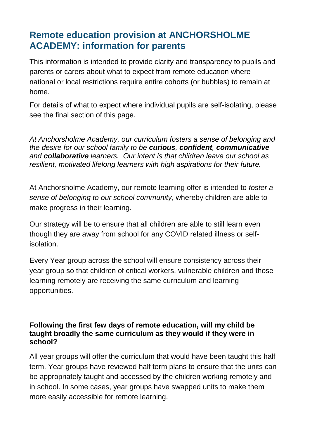# **Remote education provision at ANCHORSHOLME ACADEMY: information for parents**

This information is intended to provide clarity and transparency to pupils and parents or carers about what to expect from remote education where national or local restrictions require entire cohorts (or bubbles) to remain at home.

For details of what to expect where individual pupils are self-isolating, please see the final section of this page.

*At Anchorsholme Academy, our curriculum fosters a sense of belonging and the desire for our school family to be curious, confident, communicative and collaborative learners. Our intent is that children leave our school as resilient, motivated lifelong learners with high aspirations for their future.* 

At Anchorsholme Academy, our remote learning offer is intended to *foster a sense of belonging to our school community*, whereby children are able to make progress in their learning.

Our strategy will be to ensure that all children are able to still learn even though they are away from school for any COVID related illness or selfisolation.

Every Year group across the school will ensure consistency across their year group so that children of critical workers, vulnerable children and those learning remotely are receiving the same curriculum and learning opportunities.

#### **Following the first few days of remote education, will my child be taught broadly the same curriculum as they would if they were in school?**

All year groups will offer the curriculum that would have been taught this half term. Year groups have reviewed half term plans to ensure that the units can be appropriately taught and accessed by the children working remotely and in school. In some cases, year groups have swapped units to make them more easily accessible for remote learning.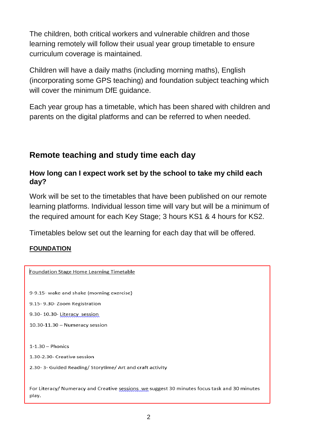The children, both critical workers and vulnerable children and those learning remotely will follow their usual year group timetable to ensure curriculum coverage is maintained.

Children will have a daily maths (including morning maths), English (incorporating some GPS teaching) and foundation subject teaching which will cover the minimum DfE quidance.

Each year group has a timetable, which has been shared with children and parents on the digital platforms and can be referred to when needed.

# **Remote teaching and study time each day**

#### **How long can I expect work set by the school to take my child each day?**

Work will be set to the timetables that have been published on our remote learning platforms. Individual lesson time will vary but will be a minimum of the required amount for each Key Stage; 3 hours KS1 & 4 hours for KS2.

Timetables below set out the learning for each day that will be offered.

#### **FOUNDATION**

| Foundation Stage Home Learning Timetable                                                                |
|---------------------------------------------------------------------------------------------------------|
| 9-9.15- wake and shake (morning exercise)<br>9.15-9.30-Zoom Registration<br>9.30-10.30-Literacy session |
| $10.30 - 11.30 -$ Numeracy session                                                                      |
| $1-1.30$ - Phonics<br>1.30-2.30- Creative session                                                       |
| 2.30-3- Guided Reading/Storytime/Art and craft activity                                                 |
| For Literacy/ Numeracy and Creative sessions, we suggest 30 minutes focus task and 30 minutes<br>play.  |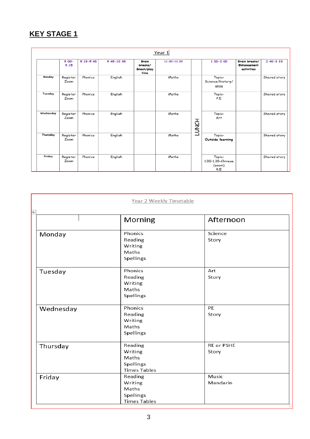# **KEY STAGE 1**

|           |                  |               |                |                                        | Year 1      |              |                                              |                                                   |               |
|-----------|------------------|---------------|----------------|----------------------------------------|-------------|--------------|----------------------------------------------|---------------------------------------------------|---------------|
|           | $9.00 -$<br>9.15 | $9.15 - 9.45$ | $9.45 - 10.45$ | Brain<br>breaks/<br>Snack/play<br>time | 11.00-12.00 |              | $1.00 - 2.00$                                | Brain breaks/<br><b>Enhancement</b><br>activities | $2.40 - 3.15$ |
| Monday    | Register<br>Zoom | Phonics       | English        |                                        | Maths       |              | Topic-<br>Science/history/<br>geog           |                                                   | Shared story  |
| Tuesday   | Register<br>Zoom | Phonics       | English        |                                        | Maths       |              | Topic-<br>P.E                                |                                                   | Shared story  |
| Wednesday | Register<br>Zoom | Phonics       | English        |                                        | Maths       | <b>LONCH</b> | Topic-<br>Art                                |                                                   | Shared story  |
| Thursday  | Register<br>Zoom | Phonics       | English        |                                        | Maths       |              | Topic-<br>Outside learning                   |                                                   | Shared story  |
| Friday    | Register<br>Zoom | Phonics       | English        |                                        | Maths       |              | Topic-<br>1.00-1.30-Chinese<br>(zoom)<br>R.E |                                                   | Shared story  |

|                | Year 2 Weekly Timetable                                         |                            |
|----------------|-----------------------------------------------------------------|----------------------------|
| $\overline{+}$ | Morning                                                         | Afternoon                  |
| Monday         | Phonics<br>Reading<br>Writing<br>Maths<br>Spellings             | Science<br>Story           |
| Tuesday        | Phonics<br>Reading<br>Writing<br>Maths<br>Spellings             | Art<br>Story               |
| Wednesday      | Phonics<br>Reading<br>Writing<br>Maths<br>Spellings             | PE<br>Story                |
| Thursday       | Reading<br>Writing<br>Maths<br>Spellings<br><b>Times Tables</b> | <b>RE or PSHE</b><br>Story |
| Friday         | Reading<br>Writing<br>Maths<br>Spellings<br><b>Times Tables</b> | Music<br>Mandarin          |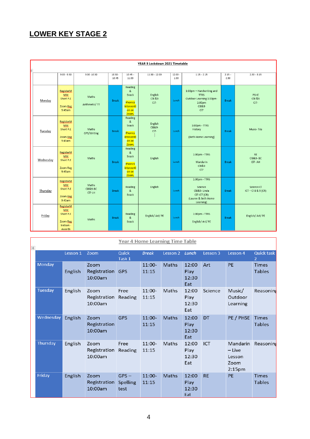# **LOWER KEY STAGE 2**

|           | YEAR 3 Lockdown 2021 Timetable                                          |                                        |                    |                                                                                      |                              |                   |                                                                                               |                  |                                            |  |  |
|-----------|-------------------------------------------------------------------------|----------------------------------------|--------------------|--------------------------------------------------------------------------------------|------------------------------|-------------------|-----------------------------------------------------------------------------------------------|------------------|--------------------------------------------|--|--|
| F         |                                                                         |                                        |                    |                                                                                      |                              |                   |                                                                                               |                  |                                            |  |  |
|           | $9:00 - 9:30$                                                           | $9:30 - 10:30$                         | $10:30 -$<br>10:45 | $10:45 -$<br>11:00                                                                   | $11:00 - 12:00$              | $12:00 -$<br>1:00 | $1:15 - 2:15$                                                                                 | $2:15 -$<br>2:30 | $2:30 - 3:15$                              |  |  |
| Monday    | RegisterM<br><b>MM</b><br>Short P.E<br>Zoom Reg<br>9:45am               | Maths<br>Arithmetic/ TT                | <b>Break</b>       | Reading<br>&<br>Snack<br><b>Phonics</b><br>interventi<br>on on<br>Zoom.              | English<br>CI8 & 9<br>$CI7-$ | Lunch             | 1:00pm - Handwriting and<br><b>TTRS</b><br>Outdoor Learning 1:30pm-<br>2:00pm<br>Cl8&9<br>CI7 | <b>Break</b>     | <b>PSHE</b><br><b>CI8 &amp;9</b><br>$Cl7-$ |  |  |
| Tuesday   | RegisterM<br><b>MM</b><br>Short P.E<br>Zoom Reg<br>9:45am               | Maths<br>GPS/Writing                   | <b>Break</b>       | Reading<br>$\mathbf{g}_i$<br>Snack<br><b>Phonics</b><br>interventi<br>on on<br>Zoom. | English<br>CI8&9-<br>$Cl7-$  | Lunch             | 1:00pm - TTRS<br>History<br>(Beth Home Learning)                                              | <b>Break</b>     | Music-TAs                                  |  |  |
| Wednesday | RegisterM<br><b>MM</b><br>Short P.E<br><b>Zoom Reg</b><br>9:45am        | Maths                                  | <b>Break</b>       | Reading<br>&<br>Snack<br><b>Phonics</b><br>interventi<br>on on<br>Zoom.              | English                      | Lunch             | 1:00pm - TTRS<br>Mandarin<br>Cl8&9<br>CI7                                                     | <b>Break</b>     | <b>RE</b><br><b>CI8&amp;9-BC</b><br>CI7-AH |  |  |
| Thursday  | RegisterM<br><b>MM</b><br>Short P.E<br>Zoom Reg<br>9:45am               | Maths<br><b>CI8&amp;9-BC</b><br>CI7-LH | <b>Break</b>       | Reading<br>8<br>Snack                                                                | English                      | Lunch             | 1:00pm - TTRS<br>Science<br>Cl8&9-Linda<br>CI7-ICT (CR)<br>(Lauren & Beth Home<br>Learning)   | <b>Break</b>     | Science Cl<br>$ICT - CI 8 & 9 (CR)$        |  |  |
| Friday    | RegisterM<br><b>MM</b><br>Short P.E<br>Zoom Reg<br>$9:45am -$<br>Awards | Maths                                  | <b>Break</b>       | Reading<br>&<br>Snack                                                                | English/ Art/ PE             | Lunch             | 1:00pm - TTRS<br>English/ Art/ PE                                                             | <b>Break</b>     | English/ Art/ PE                           |  |  |

| $\overline{+}$ |           |          |                                 | <b>Year 4 Home Learning Time Table</b> |                   |              |                               |            |                                                              |                               |
|----------------|-----------|----------|---------------------------------|----------------------------------------|-------------------|--------------|-------------------------------|------------|--------------------------------------------------------------|-------------------------------|
|                |           | Lesson 1 | Zoom                            | Quick<br>Task 1                        | <b>Break</b>      | Lesson 2     | Lunch                         | Lesson 3   | Lesson 4                                                     | Quick task<br>2               |
|                | Monday    | English  | Zoom<br>Registration<br>10:00am | <b>GPS</b>                             | $11:00-$<br>11:15 | <b>Maths</b> | 12:00<br>Play<br>12:30<br>Eat | Art        | PE                                                           | <b>Times</b><br><b>Tables</b> |
|                | Tuesday   | English  | Zoom<br>Registration<br>10:00am | Free<br>Reading                        | 11:00-<br>11:15   | Maths        | 12:00<br>Play<br>12:30<br>Eat | Science    | Music/<br>Outdoor<br>Learning                                | Reasoning                     |
|                | Wednesday | English  | Zoom<br>Registration<br>10:00am | <b>GPS</b>                             | 11:00-<br>11:15   | <b>Maths</b> | 12:00<br>Play<br>12:30<br>Eat | DT         | PE / PHSE                                                    | <b>Times</b><br><b>Tables</b> |
|                | Thursday  | English  | Zoom<br>Registration<br>10:00am | Free<br>Reading                        | $11:00-$<br>11:15 | Maths        | 12:00<br>Play<br>12:30<br>Eat | <b>ICT</b> | Mandarin<br>$-$ Live<br>Lesson<br>Zoom<br>2:15 <sub>pm</sub> | Reasoning                     |
|                | Friday    | English  | Zoom<br>Registration<br>10:00am | $GPS -$<br><b>Spelling</b><br>test     | $11:00-$<br>11:15 | Maths        | 12:00<br>Play<br>12:30<br>Eat | <b>RE</b>  | <b>PE</b>                                                    | <b>Times</b><br><b>Tables</b> |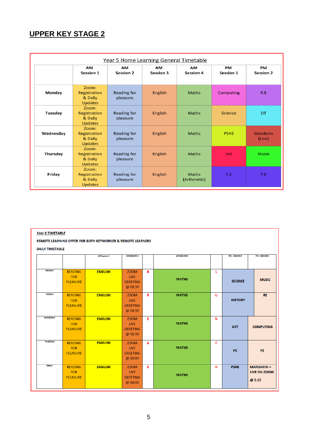# **UPPER KEY STAGE 2**

|           |                                                    | Year 5 Home Learning General Timetable |                 |                        |                 |                        |
|-----------|----------------------------------------------------|----------------------------------------|-----------------|------------------------|-----------------|------------------------|
|           | AM<br>Session 1                                    | AM<br>Session 2                        | AМ<br>Session 3 | AM<br><b>Session 4</b> | PM<br>Session 1 | PM<br><b>Session 2</b> |
| Monday    | Zoom:<br>Registration<br>& Daily<br>Updates        | Reading for<br>pleasure                | English         | <b>Maths</b>           | Computing       | R.E                    |
| Tuesday   | Zoom:<br>Registration<br>& Daily<br><b>Updates</b> | Reading for<br>pleasure                | English         | Maths                  | Science         | DT.                    |
| Wednesday | Zoom:<br>Registration<br>& Daily<br><b>Updates</b> | Reading for<br>pleasure                | English         | Maths                  | <b>PSHE</b>     | Mandarin<br>(Live)     |
| Thursday  | Zoom:<br>Registration<br>& Daily<br>Updates        | Reading for<br>pleasure                | English         | <b>Maths</b>           | Art             | <b>Music</b>           |
| Friday    | Zoom:<br>Registration<br>& Daily<br><b>Updates</b> | Reading for<br>pleasure                | <b>English</b>  | Maths<br>(Arthmetic)   | P.E.            | P.E.                   |

#### REMOTE LEARNING OFFER FOR BOTH KEYWORKER & REMOTE LEARNERS

#### **DAILY TIMETABLE**

|                  | <b>AM SESSION 2</b><br>PM - SESSION 4<br><b>AM Session 1</b><br>AM SESSION 3 |                |                 |    |              |   |                |                       |
|------------------|------------------------------------------------------------------------------|----------------|-----------------|----|--------------|---|----------------|-----------------------|
|                  |                                                                              |                |                 |    |              |   |                | <b>PM - SESSION 5</b> |
|                  |                                                                              |                |                 |    |              |   |                |                       |
|                  |                                                                              |                |                 |    |              |   |                |                       |
| <b>MONDAY</b>    | <b>READING</b>                                                               | <b>ENGLISH</b> | ZOOM            | B  |              | L |                |                       |
|                  | <b>FOR</b>                                                                   |                | <b>LIVE</b>     |    |              |   |                |                       |
|                  | <b>PLEASURE</b>                                                              |                | <b>GREETING</b> |    | <b>MATHS</b> |   | <b>SCIENCE</b> | <b>MUSIC</b>          |
|                  |                                                                              |                | @ 10:30         |    |              |   |                |                       |
|                  |                                                                              |                |                 |    |              |   |                |                       |
| <b>TUESDAY</b>   | <b>READING</b>                                                               | <b>ENGLISH</b> | <b>ZOOM</b>     | R  | <b>MATHS</b> | U |                | <b>RE</b>             |
|                  | FOR                                                                          |                | <b>LIVE</b>     |    |              |   | <b>HISTORY</b> |                       |
|                  | <b>PLEASURE</b>                                                              |                | <b>GREETING</b> |    |              |   |                |                       |
|                  |                                                                              |                | @ 10:30         |    |              |   |                |                       |
|                  |                                                                              |                |                 |    |              |   |                |                       |
| <b>WEDNESDAY</b> | <b>READING</b>                                                               | <b>ENGLISH</b> | <b>ZOOM</b>     | E. |              | N |                |                       |
|                  | FOR                                                                          |                | <b>LIVE</b>     |    | <b>MATHS</b> |   |                |                       |
|                  | <b>PLEASURE</b>                                                              |                | <b>GREETING</b> |    |              |   | <b>ART</b>     | <b>COMPUTING</b>      |
|                  |                                                                              |                | @ 10:30         |    |              |   |                |                       |
|                  |                                                                              |                |                 |    |              |   |                |                       |
| <b>THURSDAY</b>  | <b>READING</b>                                                               | <b>ENGLISH</b> | <b>ZOOM</b>     | A  |              | c |                |                       |
|                  | FOR                                                                          |                | <b>LIVE</b>     |    | <b>MATHS</b> |   |                |                       |
|                  | <b>PLEASURE</b>                                                              |                | <b>GREETING</b> |    |              |   | PE.            | <b>PE</b>             |
|                  |                                                                              |                |                 |    |              |   |                |                       |
|                  |                                                                              |                | @ 10:30         |    |              |   |                |                       |
| <b>FRIDAY</b>    | <b>READING</b>                                                               | <b>ENGLISH</b> | <b>ZOOM</b>     | K  |              | н | <b>PSHE</b>    | <b>MANDARIN-</b>      |
|                  | FOR                                                                          |                | <b>LIVE</b>     |    |              |   |                | <b>LIVE ON ZOOM</b>   |
|                  | <b>PLEASURE</b>                                                              |                | <b>GREETING</b> |    | <b>MATHS</b> |   |                |                       |
|                  |                                                                              |                |                 |    |              |   |                | @2:15                 |
|                  |                                                                              |                | @ 10:30         |    |              |   |                |                       |
|                  |                                                                              |                |                 |    |              |   |                |                       |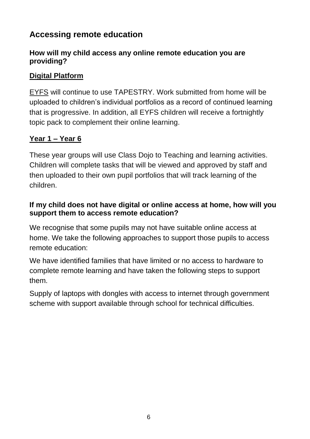# **Accessing remote education**

### **How will my child access any online remote education you are providing?**

## **Digital Platform**

EYFS will continue to use TAPESTRY. Work submitted from home will be uploaded to children's individual portfolios as a record of continued learning that is progressive. In addition, all EYFS children will receive a fortnightly topic pack to complement their online learning.

## **Year 1 – Year 6**

These year groups will use Class Dojo to Teaching and learning activities. Children will complete tasks that will be viewed and approved by staff and then uploaded to their own pupil portfolios that will track learning of the children.

### **If my child does not have digital or online access at home, how will you support them to access remote education?**

We recognise that some pupils may not have suitable online access at home. We take the following approaches to support those pupils to access remote education:

We have identified families that have limited or no access to hardware to complete remote learning and have taken the following steps to support them.

Supply of laptops with dongles with access to internet through government scheme with support available through school for technical difficulties.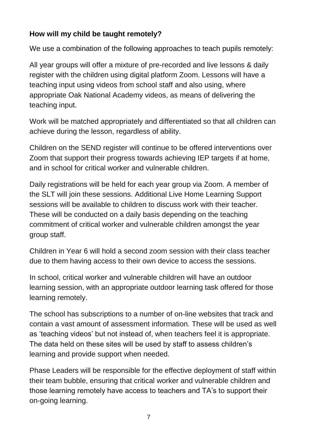## **How will my child be taught remotely?**

We use a combination of the following approaches to teach pupils remotely:

All year groups will offer a mixture of pre-recorded and live lessons & daily register with the children using digital platform Zoom. Lessons will have a teaching input using videos from school staff and also using, where appropriate Oak National Academy videos, as means of delivering the teaching input.

Work will be matched appropriately and differentiated so that all children can achieve during the lesson, regardless of ability.

Children on the SEND register will continue to be offered interventions over Zoom that support their progress towards achieving IEP targets if at home, and in school for critical worker and vulnerable children.

Daily registrations will be held for each year group via Zoom. A member of the SLT will join these sessions. Additional Live Home Learning Support sessions will be available to children to discuss work with their teacher. These will be conducted on a daily basis depending on the teaching commitment of critical worker and vulnerable children amongst the year group staff.

Children in Year 6 will hold a second zoom session with their class teacher due to them having access to their own device to access the sessions.

In school, critical worker and vulnerable children will have an outdoor learning session, with an appropriate outdoor learning task offered for those learning remotely.

The school has subscriptions to a number of on-line websites that track and contain a vast amount of assessment information. These will be used as well as 'teaching videos' but not instead of, when teachers feel it is appropriate. The data held on these sites will be used by staff to assess children's learning and provide support when needed.

Phase Leaders will be responsible for the effective deployment of staff within their team bubble, ensuring that critical worker and vulnerable children and those learning remotely have access to teachers and TA's to support their on-going learning.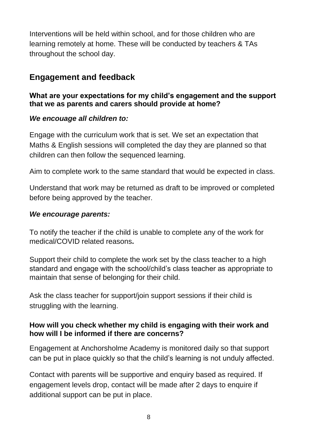Interventions will be held within school, and for those children who are learning remotely at home. These will be conducted by teachers & TAs throughout the school day.

# **Engagement and feedback**

#### **What are your expectations for my child's engagement and the support that we as parents and carers should provide at home?**

#### *We encouage all children to:*

Engage with the curriculum work that is set. We set an expectation that Maths & English sessions will completed the day they are planned so that children can then follow the sequenced learning.

Aim to complete work to the same standard that would be expected in class.

Understand that work may be returned as draft to be improved or completed before being approved by the teacher.

#### *We encourage parents:*

To notify the teacher if the child is unable to complete any of the work for medical/COVID related reasons**.** 

Support their child to complete the work set by the class teacher to a high standard and engage with the school/child's class teacher as appropriate to maintain that sense of belonging for their child.

Ask the class teacher for support/join support sessions if their child is struggling with the learning.

#### **How will you check whether my child is engaging with their work and how will I be informed if there are concerns?**

Engagement at Anchorsholme Academy is monitored daily so that support can be put in place quickly so that the child's learning is not unduly affected.

Contact with parents will be supportive and enquiry based as required. If engagement levels drop, contact will be made after 2 days to enquire if additional support can be put in place.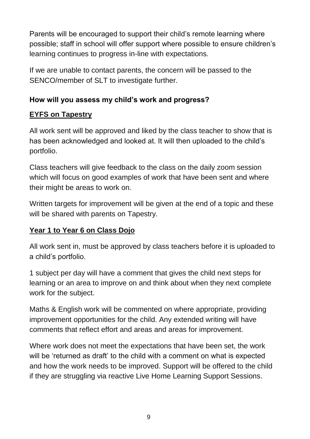Parents will be encouraged to support their child's remote learning where possible; staff in school will offer support where possible to ensure children's learning continues to progress in-line with expectations.

If we are unable to contact parents, the concern will be passed to the SENCO/member of SLT to investigate further.

### **How will you assess my child's work and progress?**

## **EYFS on Tapestry**

All work sent will be approved and liked by the class teacher to show that is has been acknowledged and looked at. It will then uploaded to the child's portfolio.

Class teachers will give feedback to the class on the daily zoom session which will focus on good examples of work that have been sent and where their might be areas to work on.

Written targets for improvement will be given at the end of a topic and these will be shared with parents on Tapestry.

## **Year 1 to Year 6 on Class Dojo**

All work sent in, must be approved by class teachers before it is uploaded to a child's portfolio.

1 subject per day will have a comment that gives the child next steps for learning or an area to improve on and think about when they next complete work for the subject.

Maths & English work will be commented on where appropriate, providing improvement opportunities for the child. Any extended writing will have comments that reflect effort and areas and areas for improvement.

Where work does not meet the expectations that have been set, the work will be 'returned as draft' to the child with a comment on what is expected and how the work needs to be improved. Support will be offered to the child if they are struggling via reactive Live Home Learning Support Sessions.